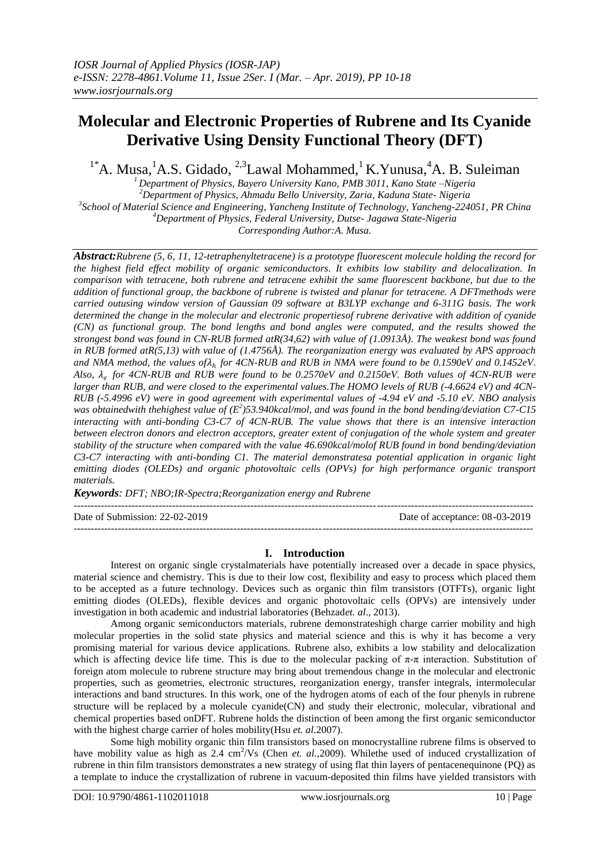# **Molecular and Electronic Properties of Rubrene and Its Cyanide Derivative Using Density Functional Theory (DFT)**

<sup>1\*</sup>A. Musa, <sup>1</sup>A.S. Gidado, <sup>2,3</sup>Lawal Mohammed, <sup>1</sup>K. Yunusa, <sup>4</sup>A. B. Suleiman

*Department of Physics, Bayero University Kano, PMB 3011, Kano State –Nigeria Department of Physics, Ahmadu Bello University, Zaria, Kaduna State- Nigeria School of Material Science and Engineering, Yancheng Institute of Technology, Yancheng-224051, PR China Department of Physics, Federal University, Dutse- Jagawa State-Nigeria*

*Corresponding Author:A. Musa.*

*Abstract:Rubrene (5, 6, 11, 12-tetraphenyltetracene) is a prototype fluorescent molecule holding the record for the highest field effect mobility of organic semiconductors. It exhibits low stability and delocalization. In comparison with tetracene, both rubrene and tetracene exhibit the same fluorescent backbone, but due to the addition of functional group, the backbone of rubrene is twisted and planar for tetracene. A DFTmethods were carried outusing window version of Gaussian 09 software at B3LYP exchange and 6-311G basis. The work determined the change in the molecular and electronic propertiesof rubrene derivative with addition of cyanide (CN) as functional group. The bond lengths and bond angles were computed, and the results showed the strongest bond was found in CN-RUB formed atR(34,62) with value of (1.0913Å). The weakest bond was found in RUB formed atR(5,13) with value of (1.4756Å). The reorganization energy was evaluated by APS approach and NMA method, the values of*<sup>ℎ</sup> *for 4CN-RUB and RUB in NMA were found to be 0.1590eV and 0.1452eV. Also, for 4CN-RUB and RUB were found to be 0.2570eV and 0.2150eV. Both values of 4CN-RUB were larger than RUB, and were closed to the experimental values.The HOMO levels of RUB (-4.6624 eV) and 4CN-RUB (-5.4996 eV) were in good agreement with experimental values of -4.94 eV and -5.10 eV. NBO analysis*  was obtainedwith thehighest value of (E<sup>2</sup>)53.940kcal/mol, and was found in the bond bending/deviation C7-C15 *interacting with anti-bonding C3-C7 of 4CN-RUB. The value shows that there is an intensive interaction between electron donors and electron acceptors, greater extent of conjugation of the whole system and greater stability of the structure when compared with the value 46.690kcal/molof RUB found in bond bending/deviation C3-C7 interacting with anti-bonding C1. The material demonstratesa potential application in organic light emitting diodes (OLEDs) and organic photovoltaic cells (OPVs) for high performance organic transport materials.*

*Keywords: DFT; NBO;IR-Spectra;Reorganization energy and Rubrene*

---------------------------------------------------------------------------------------------------------------------------------------

Date of Submission: 22-02-2019 Date of acceptance: 08-03-2019

# **I. Introduction**

---------------------------------------------------------------------------------------------------------------------------------------

Interest on organic single crystalmaterials have potentially increased over a decade in space physics, material science and chemistry. This is due to their low cost, flexibility and easy to process which placed them to be accepted as a future technology. Devices such as organic thin film transistors (OTFTs), organic light emitting diodes (OLEDs), flexible devices and organic photovoltaic cells (OPVs) are intensively under investigation in both academic and industrial laboratories (Behzad*et. al*., 2013).

Among organic semiconductors materials, rubrene demonstrateshigh charge carrier mobility and high molecular properties in the solid state physics and material science and this is why it has become a very promising material for various device applications. Rubrene also, exhibits a low stability and delocalization which is affecting device life time. This is due to the molecular packing of  $\pi$ -π interaction. Substitution of foreign atom molecule to rubrene structure may bring about tremendous change in the molecular and electronic properties, such as geometries, electronic structures, reorganization energy, transfer integrals, intermolecular interactions and band structures. In this work, one of the hydrogen atoms of each of the four phenyls in rubrene structure will be replaced by a molecule cyanide(CN) and study their electronic, molecular, vibrational and chemical properties based onDFT. Rubrene holds the distinction of been among the first organic semiconductor with the highest charge carrier of holes mobility(Hsu *et. al*.2007).

Some high mobility organic thin film transistors based on monocrystalline rubrene films is observed to have mobility value as high as 2.4 cm<sup>2</sup>/Vs (Chen *et. al.*,2009). Whilethe used of induced crystallization of rubrene in thin film transistors demonstrates a new strategy of using flat thin layers of pentacenequinone (PQ) as a template to induce the crystallization of rubrene in vacuum-deposited thin films have yielded transistors with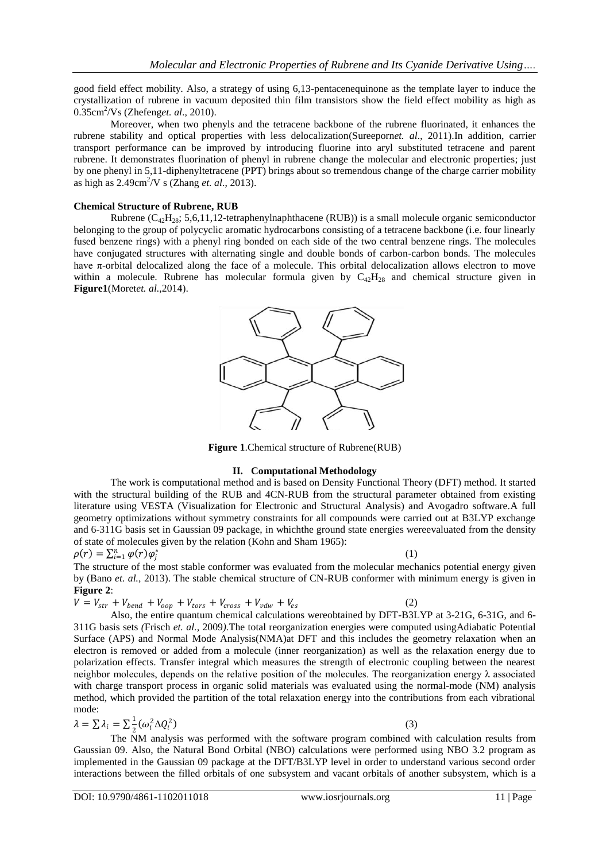good field effect mobility. Also, a strategy of using 6,13-pentacenequinone as the template layer to induce the crystallization of rubrene in vacuum deposited thin film transistors show the field effect mobility as high as 0.35cm<sup>2</sup> /Vs (Zhefeng*et. al*., 2010).

Moreover, when two phenyls and the tetracene backbone of the rubrene fluorinated, it enhances the rubrene stability and optical properties with less delocalization(Sureeporn*et. al*., 2011).In addition, carrier transport performance can be improved by introducing fluorine into aryl substituted tetracene and parent rubrene. It demonstrates fluorination of phenyl in rubrene change the molecular and electronic properties; just by one phenyl in 5,11-diphenyltetracene (PPT) brings about so tremendous change of the charge carrier mobility as high as 2.49cm<sup>2</sup> /V s (Zhang *et. al*., 2013).

## **Chemical Structure of Rubrene, RUB**

Rubrene  $(C_{42}H_{28}; 5,6,11,12$ -tetraphenylnaphthacene (RUB)) is a small molecule organic semiconductor belonging to the group of polycyclic aromatic hydrocarbons consisting of a tetracene backbone (i.e. four linearly fused benzene rings) with a phenyl ring bonded on each side of the two central benzene rings. The molecules have conjugated structures with alternating single and double bonds of carbon-carbon bonds. The molecules have  $\pi$ -orbital delocalized along the face of a molecule. This orbital delocalization allows electron to move within a molecule. Rubrene has molecular formula given by  $C_{42}H_{28}$  and chemical structure given in **Figure1**(Moret*et. al.,*2014).



**Figure 1**.Chemical structure of Rubrene(RUB)

#### **II. Computational Methodology**

The work is computational method and is based on Density Functional Theory (DFT) method. It started with the structural building of the RUB and 4CN-RUB from the structural parameter obtained from existing literature using VESTA (Visualization for Electronic and Structural Analysis) and Avogadro software.A full geometry optimizations without symmetry constraints for all compounds were carried out at B3LYP exchange and 6-311G basis set in Gaussian 09 package, in whichthe ground state energies wereevaluated from the density of state of molecules given by the relation (Kohn and Sham 1965):

$$
\rho(r) = \sum_{i=1}^n \varphi(r) \varphi_i^*
$$

(1)

(2)

 $\rho(r) = \sum_{i=1}^{n} \varphi(r) \varphi_j^*$  (1)<br>The structure of the most stable conformer was evaluated from the molecular mechanics potential energy given by (Bano *et. al.,* 2013). The stable chemical structure of CN-RUB conformer with minimum energy is given in **Figure 2**:

$$
V = V_{str} + V_{bend} + V_{oop} + V_{tors} + V_{cross} + V_{vdw} + V_{es}
$$

Also, the entire quantum chemical calculations wereobtained by DFT-B3LYP at 3-21G, 6-31G, and 6- 311G basis sets *(*Frisch *et. al.,* 2009*).*The total reorganization energies were computed usingAdiabatic Potential Surface (APS) and Normal Mode Analysis(NMA)at DFT and this includes the geometry relaxation when an electron is removed or added from a molecule (inner reorganization) as well as the relaxation energy due to polarization effects. Transfer integral which measures the strength of electronic coupling between the nearest neighbor molecules, depends on the relative position of the molecules. The reorganization energy  $\lambda$  associated with charge transport process in organic solid materials was evaluated using the normal-mode (NM) analysis method, which provided the partition of the total relaxation energy into the contributions from each vibrational mode:

$$
\lambda = \sum \lambda_i = \sum \frac{1}{2} (\omega_i^2 \Delta Q_i^2)
$$
 (3)

 $\frac{2}{2}$ <sup>2</sup>  $\frac{2}{\sqrt{2}}$  The NM analysis was performed with the software program combined with calculation results from Gaussian 09. Also, the Natural Bond Orbital (NBO) calculations were performed using NBO 3.2 program as implemented in the Gaussian 09 package at the DFT/B3LYP level in order to understand various second order interactions between the filled orbitals of one subsystem and vacant orbitals of another subsystem, which is a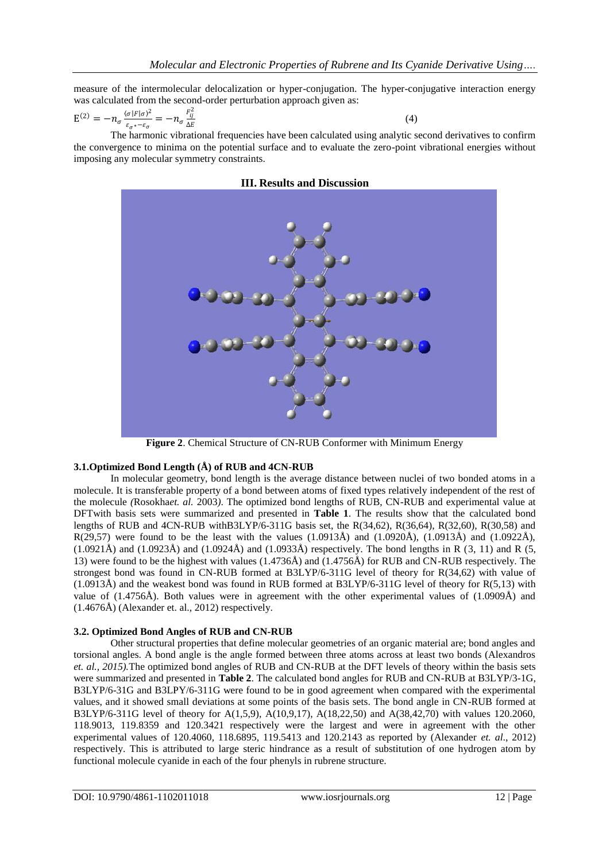measure of the intermolecular delocalization or hyper-conjugation. The hyper-conjugative interaction energy was calculated from the second-order perturbation approach given as:

$$
E^{(2)} = -n_{\sigma} \frac{\langle \sigma | F | \sigma \rangle^2}{\varepsilon_{\sigma^*} - \varepsilon_{\sigma}} = -n_{\sigma} \frac{F_{ij}^2}{\Delta E}
$$
(4)

The harmonic vibrational frequencies have been calculated using analytic second derivatives to confirm the convergence to minima on the potential surface and to evaluate the zero-point vibrational energies without imposing any molecular symmetry constraints.

#### **III. Results and Discussion**



**Figure 2**. Chemical Structure of CN-RUB Conformer with Minimum Energy

# **3.1.Optimized Bond Length (Å) of RUB and 4CN-RUB**

In molecular geometry, bond length is the average distance between nuclei of two bonded atoms in a molecule. It is transferable property of a bond between atoms of fixed types relatively independent of the rest of the molecule *(*Rosokha*et. al.* 2003*)*. The optimized bond lengths of RUB, CN-RUB and experimental value at DFTwith basis sets were summarized and presented in **Table 1**. The results show that the calculated bond lengths of RUB and 4CN-RUB withB3LYP/6-311G basis set, the R(34,62), R(36,64), R(32,60), R(30,58) and R(29,57) were found to be the least with the values (1.0913Å) and (1.0920Å), (1.0913Å) and (1.0922Å),  $(1.0921\text{\AA})$  and  $(1.0923\text{\AA})$  and  $(1.0924\text{\AA})$  and  $(1.0933\text{\AA})$  respectively. The bond lengths in R  $(3, 11)$  and R  $(5, 11)$ 13) were found to be the highest with values (1.4736Å) and (1.4756Å) for RUB and CN-RUB respectively. The strongest bond was found in CN-RUB formed at B3LYP/6-311G level of theory for R(34,62) with value of (1.0913Å) and the weakest bond was found in RUB formed at B3LYP/6-311G level of theory for R(5,13) with value of (1.4756Å). Both values were in agreement with the other experimental values of (1.0909Å) and (1.4676Å) (Alexander et. al., 2012) respectively.

#### **3.2. Optimized Bond Angles of RUB and CN-RUB**

Other structural properties that define molecular geometries of an organic material are; bond angles and torsional angles. A bond angle is the angle formed between three atoms across at least two bonds (Alexandros *et. al., 2015).*The optimized bond angles of RUB and CN-RUB at the DFT levels of theory within the basis sets were summarized and presented in **Table 2**. The calculated bond angles for RUB and CN-RUB at B3LYP/3-1G, B3LYP/6-31G and B3LPY/6-311G were found to be in good agreement when compared with the experimental values, and it showed small deviations at some points of the basis sets. The bond angle in CN-RUB formed at B3LYP/6-311G level of theory for A(1,5,9), A(10,9,17), A(18,22,50) and A(38,42,70) with values 120.2060, 118.9013, 119.8359 and 120.3421 respectively were the largest and were in agreement with the other experimental values of 120.4060, 118.6895, 119.5413 and 120.2143 as reported by (Alexander *et. al*., 2012) respectively. This is attributed to large steric hindrance as a result of substitution of one hydrogen atom by functional molecule cyanide in each of the four phenyls in rubrene structure.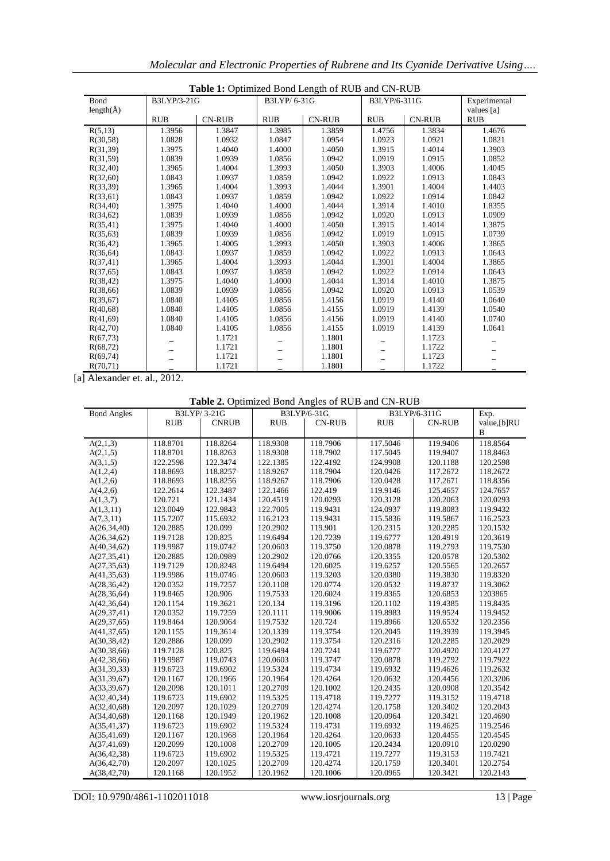| Table 1: Optimized Bond Length of RUB and CN-RUB |             |               |             |               |              |               |              |
|--------------------------------------------------|-------------|---------------|-------------|---------------|--------------|---------------|--------------|
| Bond                                             | B3LYP/3-21G |               | B3LYP/6-31G |               | B3LYP/6-311G |               | Experimental |
| length $(\AA)$                                   |             |               |             |               |              |               | values [a]   |
|                                                  | <b>RUB</b>  | <b>CN-RUB</b> | <b>RUB</b>  | <b>CN-RUB</b> | <b>RUB</b>   | <b>CN-RUB</b> | <b>RUB</b>   |
| R(5,13)                                          | 1.3956      | 1.3847        | 1.3985      | 1.3859        | 1.4756       | 1.3834        | 1.4676       |
| R(30,58)                                         | 1.0828      | 1.0932        | 1.0847      | 1.0954        | 1.0923       | 1.0921        | 1.0821       |
| R(31,39)                                         | 1.3975      | 1.4040        | 1.4000      | 1.4050        | 1.3915       | 1.4014        | 1.3903       |
| R(31,59)                                         | 1.0839      | 1.0939        | 1.0856      | 1.0942        | 1.0919       | 1.0915        | 1.0852       |
| R(32,40)                                         | 1.3965      | 1.4004        | 1.3993      | 1.4050        | 1.3903       | 1.4006        | 1.4045       |
| R(32,60)                                         | 1.0843      | 1.0937        | 1.0859      | 1.0942        | 1.0922       | 1.0913        | 1.0843       |
| R(33,39)                                         | 1.3965      | 1.4004        | 1.3993      | 1.4044        | 1.3901       | 1.4004        | 1.4403       |
| R(33,61)                                         | 1.0843      | 1.0937        | 1.0859      | 1.0942        | 1.0922       | 1.0914        | 1.0842       |
| R(34,40)                                         | 1.3975      | 1.4040        | 1.4000      | 1.4044        | 1.3914       | 1.4010        | 1.8355       |
| R(34,62)                                         | 1.0839      | 1.0939        | 1.0856      | 1.0942        | 1.0920       | 1.0913        | 1.0909       |
| R(35,41)                                         | 1.3975      | 1.4040        | 1.4000      | 1.4050        | 1.3915       | 1.4014        | 1.3875       |
| R(35,63)                                         | 1.0839      | 1.0939        | 1.0856      | 1.0942        | 1.0919       | 1.0915        | 1.0739       |
| R(36,42)                                         | 1.3965      | 1.4005        | 1.3993      | 1.4050        | 1.3903       | 1.4006        | 1.3865       |
| R(36,64)                                         | 1.0843      | 1.0937        | 1.0859      | 1.0942        | 1.0922       | 1.0913        | 1.0643       |
| R(37, 41)                                        | 1.3965      | 1.4004        | 1.3993      | 1.4044        | 1.3901       | 1.4004        | 1.3865       |
| R(37,65)                                         | 1.0843      | 1.0937        | 1.0859      | 1.0942        | 1.0922       | 1.0914        | 1.0643       |
| R(38, 42)                                        | 1.3975      | 1.4040        | 1.4000      | 1.4044        | 1.3914       | 1.4010        | 1.3875       |
| R(38,66)                                         | 1.0839      | 1.0939        | 1.0856      | 1.0942        | 1.0920       | 1.0913        | 1.0539       |
| R(39,67)                                         | 1.0840      | 1.4105        | 1.0856      | 1.4156        | 1.0919       | 1.4140        | 1.0640       |
| R(40,68)                                         | 1.0840      | 1.4105        | 1.0856      | 1.4155        | 1.0919       | 1.4139        | 1.0540       |
| R(41,69)                                         | 1.0840      | 1.4105        | 1.0856      | 1.4156        | 1.0919       | 1.4140        | 1.0740       |
| R(42,70)                                         | 1.0840      | 1.4105        | 1.0856      | 1.4155        | 1.0919       | 1.4139        | 1.0641       |
| R(67,73)                                         |             | 1.1721        |             | 1.1801        |              | 1.1723        |              |
| R(68,72)                                         |             | 1.1721        |             | 1.1801        |              | 1.1722        |              |
| R(69,74)                                         |             | 1.1721        |             | 1.1801        |              | 1.1723        |              |
| R(70,71)                                         |             | 1.1721        |             | 1.1801        |              | 1.1722        |              |

*Molecular and Electronic Properties of Rubrene and Its Cyanide Derivative Using….*

[a] Alexander et. al., 2012.

| <b>Bond Angles</b> | B3LYP/3-21G |              | B3LYP/6-31G |               | B3LYP/6-311G |               | Exp.         |
|--------------------|-------------|--------------|-------------|---------------|--------------|---------------|--------------|
|                    | <b>RUB</b>  | <b>CNRUB</b> | <b>RUB</b>  | <b>CN-RUB</b> | <b>RUB</b>   | <b>CN-RUB</b> | value, [b]RU |
|                    |             |              |             |               |              |               | В            |
| A(2,1,3)           | 118.8701    | 118.8264     | 118.9308    | 118.7906      | 117.5046     | 119.9406      | 118.8564     |
| A(2,1,5)           | 118.8701    | 118.8263     | 118.9308    | 118.7902      | 117.5045     | 119.9407      | 118.8463     |
| A(3,1,5)           | 122.2598    | 122.3474     | 122.1385    | 122.4192      | 124.9908     | 120.1188      | 120.2598     |
| A(1,2,4)           | 118.8693    | 118.8257     | 118.9267    | 118.7904      | 120.0426     | 117.2672      | 118.2672     |
| A(1,2,6)           | 118.8693    | 118.8256     | 118.9267    | 118.7906      | 120.0428     | 117.2671      | 118.8356     |
| A(4,2,6)           | 122.2614    | 122.3487     | 122.1466    | 122.419       | 119.9146     | 125.4657      | 124.7657     |
| A(1,3,7)           | 120.721     | 121.1434     | 120.4519    | 120.0293      | 120.3128     | 120.2063      | 120.0293     |
| A(1,3,11)          | 123.0049    | 122.9843     | 122.7005    | 119.9431      | 124.0937     | 119.8083      | 119.9432     |
| A(7,3,11)          | 115.7207    | 115.6932     | 116.2123    | 119.9431      | 115.5836     | 119.5867      | 116.2523     |
| A(26,34,40)        | 120.2885    | 120.099      | 120.2902    | 119.901       | 120.2315     | 120.2285      | 120.1532     |
| A(26, 34, 62)      | 119.7128    | 120.825      | 119.6494    | 120.7239      | 119.6777     | 120.4919      | 120.3619     |
| A(40, 34, 62)      | 119.9987    | 119.0742     | 120.0603    | 119.3750      | 120.0878     | 119.2793      | 119.7530     |
| A(27, 35, 41)      | 120.2885    | 120.0989     | 120 2902    | 120 0766      | 120 3355     | 120.0578      | 120.5302     |

**Table 2.** Optimized Bond Angles of RUB and CN-RUB

| 118.8693<br>118.8256<br>118.9267<br>118.7906<br>120.0428<br>117.2671<br>118.8356<br>122.419<br>119.9146<br>122.2614<br>122.3487<br>122.1466<br>125.4657<br>124.7657<br>120.721<br>121.1434<br>120.0293<br>120.2063<br>120.0293<br>120.4519<br>120.3128<br>123.0049<br>122.9843<br>122.7005<br>119.9431<br>124.0937<br>119.8083<br>119.9432<br>115.7207<br>115.6932<br>116.2123<br>119.9431<br>115.5836<br>119.5867<br>116.2523<br>120.2885<br>120.099<br>120.2902<br>119.901<br>120.2315<br>120.2285<br>120.1532<br>120.825<br>119.6494<br>120.7239<br>119.6777<br>120.4919<br>120.3619<br>119.7128<br>119.0742<br>120.0603<br>119.3750<br>120.0878<br>119.7530<br>119.9987<br>119.2793<br>120.2885<br>120.0989<br>120.2902<br>120.0766<br>120.3355<br>120.0578<br>120.5302<br>120.8248<br>120.6025<br>120.2657<br>119.7129<br>119.6494<br>119.6257<br>120.5565<br>120.0603<br>119.9986<br>119.0746<br>119.3203<br>120.0380<br>119.3830<br>119.8320<br>120.0352<br>119.7257<br>120.1108<br>120.0774<br>120.0532<br>119.8737<br>119.3062<br>120.906<br>119.7533<br>120.6024<br>119.8365<br>120.6853<br>1203865<br>119.8465<br>119.3621<br>120.134<br>119.3196<br>120.1102<br>120.1154<br>119.4385<br>119.8435<br>120.0352<br>119.7259<br>120.1111<br>119.9006<br>119.8983<br>119.9524<br>119.9452<br>120.9064<br>119.7532<br>120.724<br>119.8966<br>120.6532<br>120.2356<br>119.8464<br>119.3614<br>119.3945<br>120.1155<br>120.1339<br>119.3754<br>120.2045<br>119.3939<br>120.099<br>120.2886<br>120.2902<br>119.3754<br>120.2316<br>120.2285<br>120.2029<br>120.825<br>119.6494<br>120.7241<br>119.6777<br>120.4920<br>120.4127<br>119.7128<br>119.0743<br>120.0603<br>119.3747<br>120.0878<br>119.7922<br>119.9987<br>119.2792<br>119.6902<br>119.2632<br>119.6723<br>119.5324<br>119.4734<br>119.6932<br>119.4626<br>120.1167<br>120.1966<br>120.1964<br>120.4264<br>120.0632<br>120.4456<br>120.3206<br>120.2098<br>120.1011<br>120.2709<br>120.1002<br>120.0908<br>120.3542<br>120.2435<br>119.6902<br>119.5325<br>119.4718<br>119.7277<br>119.3152<br>119.4718<br>119.6723<br>120.1029<br>120.2709<br>120.2097<br>120.4274<br>120.1758<br>120.3402<br>120.2043<br>120.1168<br>120.1949<br>120.1962<br>120.1008<br>120.0964<br>120.3421<br>120.4690<br>119.6902<br>119.4731<br>119.6723<br>119.5324<br>119.6932<br>119.4625<br>119.2546<br>120.1968<br>120.1964<br>120.4264<br>120.4545<br>120.1167<br>120.0633<br>120.4455<br>120.1008<br>120.2709<br>120.1005<br>120.2434<br>120.0910<br>120.0290<br>120.2099<br>119.6902<br>119.5325<br>119.4721<br>119.7421<br>119.6723<br>119.7277<br>119.3153<br>120.1025<br>120.2709<br>120.4274<br>120.2097<br>120.1759<br>120.3401<br>120.2754<br>120.1952<br>120.1962<br>120.1006<br>120.2143<br>120.1168<br>120.0965<br>120.3421 | A(1,2,4)      | 118.8693 | 118.8257 | 118.9267 | 118.7904 | 120.0426 | 117.2672 | 118.2672 |
|-----------------------------------------------------------------------------------------------------------------------------------------------------------------------------------------------------------------------------------------------------------------------------------------------------------------------------------------------------------------------------------------------------------------------------------------------------------------------------------------------------------------------------------------------------------------------------------------------------------------------------------------------------------------------------------------------------------------------------------------------------------------------------------------------------------------------------------------------------------------------------------------------------------------------------------------------------------------------------------------------------------------------------------------------------------------------------------------------------------------------------------------------------------------------------------------------------------------------------------------------------------------------------------------------------------------------------------------------------------------------------------------------------------------------------------------------------------------------------------------------------------------------------------------------------------------------------------------------------------------------------------------------------------------------------------------------------------------------------------------------------------------------------------------------------------------------------------------------------------------------------------------------------------------------------------------------------------------------------------------------------------------------------------------------------------------------------------------------------------------------------------------------------------------------------------------------------------------------------------------------------------------------------------------------------------------------------------------------------------------------------------------------------------------------------------------------------------------------------------------------------------------------------------------------------------------------------------------------------------------------------------------------------------------------------------------------------------------------------------------------------------------------------------|---------------|----------|----------|----------|----------|----------|----------|----------|
|                                                                                                                                                                                                                                                                                                                                                                                                                                                                                                                                                                                                                                                                                                                                                                                                                                                                                                                                                                                                                                                                                                                                                                                                                                                                                                                                                                                                                                                                                                                                                                                                                                                                                                                                                                                                                                                                                                                                                                                                                                                                                                                                                                                                                                                                                                                                                                                                                                                                                                                                                                                                                                                                                                                                                                                   | A(1,2,6)      |          |          |          |          |          |          |          |
|                                                                                                                                                                                                                                                                                                                                                                                                                                                                                                                                                                                                                                                                                                                                                                                                                                                                                                                                                                                                                                                                                                                                                                                                                                                                                                                                                                                                                                                                                                                                                                                                                                                                                                                                                                                                                                                                                                                                                                                                                                                                                                                                                                                                                                                                                                                                                                                                                                                                                                                                                                                                                                                                                                                                                                                   | A(4,2,6)      |          |          |          |          |          |          |          |
|                                                                                                                                                                                                                                                                                                                                                                                                                                                                                                                                                                                                                                                                                                                                                                                                                                                                                                                                                                                                                                                                                                                                                                                                                                                                                                                                                                                                                                                                                                                                                                                                                                                                                                                                                                                                                                                                                                                                                                                                                                                                                                                                                                                                                                                                                                                                                                                                                                                                                                                                                                                                                                                                                                                                                                                   | A(1,3,7)      |          |          |          |          |          |          |          |
|                                                                                                                                                                                                                                                                                                                                                                                                                                                                                                                                                                                                                                                                                                                                                                                                                                                                                                                                                                                                                                                                                                                                                                                                                                                                                                                                                                                                                                                                                                                                                                                                                                                                                                                                                                                                                                                                                                                                                                                                                                                                                                                                                                                                                                                                                                                                                                                                                                                                                                                                                                                                                                                                                                                                                                                   | A(1,3,11)     |          |          |          |          |          |          |          |
|                                                                                                                                                                                                                                                                                                                                                                                                                                                                                                                                                                                                                                                                                                                                                                                                                                                                                                                                                                                                                                                                                                                                                                                                                                                                                                                                                                                                                                                                                                                                                                                                                                                                                                                                                                                                                                                                                                                                                                                                                                                                                                                                                                                                                                                                                                                                                                                                                                                                                                                                                                                                                                                                                                                                                                                   | A(7,3,11)     |          |          |          |          |          |          |          |
|                                                                                                                                                                                                                                                                                                                                                                                                                                                                                                                                                                                                                                                                                                                                                                                                                                                                                                                                                                                                                                                                                                                                                                                                                                                                                                                                                                                                                                                                                                                                                                                                                                                                                                                                                                                                                                                                                                                                                                                                                                                                                                                                                                                                                                                                                                                                                                                                                                                                                                                                                                                                                                                                                                                                                                                   | A(26, 34, 40) |          |          |          |          |          |          |          |
|                                                                                                                                                                                                                                                                                                                                                                                                                                                                                                                                                                                                                                                                                                                                                                                                                                                                                                                                                                                                                                                                                                                                                                                                                                                                                                                                                                                                                                                                                                                                                                                                                                                                                                                                                                                                                                                                                                                                                                                                                                                                                                                                                                                                                                                                                                                                                                                                                                                                                                                                                                                                                                                                                                                                                                                   | A(26, 34, 62) |          |          |          |          |          |          |          |
|                                                                                                                                                                                                                                                                                                                                                                                                                                                                                                                                                                                                                                                                                                                                                                                                                                                                                                                                                                                                                                                                                                                                                                                                                                                                                                                                                                                                                                                                                                                                                                                                                                                                                                                                                                                                                                                                                                                                                                                                                                                                                                                                                                                                                                                                                                                                                                                                                                                                                                                                                                                                                                                                                                                                                                                   | A(40, 34, 62) |          |          |          |          |          |          |          |
|                                                                                                                                                                                                                                                                                                                                                                                                                                                                                                                                                                                                                                                                                                                                                                                                                                                                                                                                                                                                                                                                                                                                                                                                                                                                                                                                                                                                                                                                                                                                                                                                                                                                                                                                                                                                                                                                                                                                                                                                                                                                                                                                                                                                                                                                                                                                                                                                                                                                                                                                                                                                                                                                                                                                                                                   | A(27, 35, 41) |          |          |          |          |          |          |          |
|                                                                                                                                                                                                                                                                                                                                                                                                                                                                                                                                                                                                                                                                                                                                                                                                                                                                                                                                                                                                                                                                                                                                                                                                                                                                                                                                                                                                                                                                                                                                                                                                                                                                                                                                                                                                                                                                                                                                                                                                                                                                                                                                                                                                                                                                                                                                                                                                                                                                                                                                                                                                                                                                                                                                                                                   | A(27, 35, 63) |          |          |          |          |          |          |          |
|                                                                                                                                                                                                                                                                                                                                                                                                                                                                                                                                                                                                                                                                                                                                                                                                                                                                                                                                                                                                                                                                                                                                                                                                                                                                                                                                                                                                                                                                                                                                                                                                                                                                                                                                                                                                                                                                                                                                                                                                                                                                                                                                                                                                                                                                                                                                                                                                                                                                                                                                                                                                                                                                                                                                                                                   | A(41, 35, 63) |          |          |          |          |          |          |          |
|                                                                                                                                                                                                                                                                                                                                                                                                                                                                                                                                                                                                                                                                                                                                                                                                                                                                                                                                                                                                                                                                                                                                                                                                                                                                                                                                                                                                                                                                                                                                                                                                                                                                                                                                                                                                                                                                                                                                                                                                                                                                                                                                                                                                                                                                                                                                                                                                                                                                                                                                                                                                                                                                                                                                                                                   | A(28, 36, 42) |          |          |          |          |          |          |          |
|                                                                                                                                                                                                                                                                                                                                                                                                                                                                                                                                                                                                                                                                                                                                                                                                                                                                                                                                                                                                                                                                                                                                                                                                                                                                                                                                                                                                                                                                                                                                                                                                                                                                                                                                                                                                                                                                                                                                                                                                                                                                                                                                                                                                                                                                                                                                                                                                                                                                                                                                                                                                                                                                                                                                                                                   | A(28, 36, 64) |          |          |          |          |          |          |          |
|                                                                                                                                                                                                                                                                                                                                                                                                                                                                                                                                                                                                                                                                                                                                                                                                                                                                                                                                                                                                                                                                                                                                                                                                                                                                                                                                                                                                                                                                                                                                                                                                                                                                                                                                                                                                                                                                                                                                                                                                                                                                                                                                                                                                                                                                                                                                                                                                                                                                                                                                                                                                                                                                                                                                                                                   | A(42,36,64)   |          |          |          |          |          |          |          |
|                                                                                                                                                                                                                                                                                                                                                                                                                                                                                                                                                                                                                                                                                                                                                                                                                                                                                                                                                                                                                                                                                                                                                                                                                                                                                                                                                                                                                                                                                                                                                                                                                                                                                                                                                                                                                                                                                                                                                                                                                                                                                                                                                                                                                                                                                                                                                                                                                                                                                                                                                                                                                                                                                                                                                                                   | A(29, 37, 41) |          |          |          |          |          |          |          |
|                                                                                                                                                                                                                                                                                                                                                                                                                                                                                                                                                                                                                                                                                                                                                                                                                                                                                                                                                                                                                                                                                                                                                                                                                                                                                                                                                                                                                                                                                                                                                                                                                                                                                                                                                                                                                                                                                                                                                                                                                                                                                                                                                                                                                                                                                                                                                                                                                                                                                                                                                                                                                                                                                                                                                                                   | A(29, 37, 65) |          |          |          |          |          |          |          |
|                                                                                                                                                                                                                                                                                                                                                                                                                                                                                                                                                                                                                                                                                                                                                                                                                                                                                                                                                                                                                                                                                                                                                                                                                                                                                                                                                                                                                                                                                                                                                                                                                                                                                                                                                                                                                                                                                                                                                                                                                                                                                                                                                                                                                                                                                                                                                                                                                                                                                                                                                                                                                                                                                                                                                                                   | A(41, 37, 65) |          |          |          |          |          |          |          |
|                                                                                                                                                                                                                                                                                                                                                                                                                                                                                                                                                                                                                                                                                                                                                                                                                                                                                                                                                                                                                                                                                                                                                                                                                                                                                                                                                                                                                                                                                                                                                                                                                                                                                                                                                                                                                                                                                                                                                                                                                                                                                                                                                                                                                                                                                                                                                                                                                                                                                                                                                                                                                                                                                                                                                                                   | A(30, 38, 42) |          |          |          |          |          |          |          |
|                                                                                                                                                                                                                                                                                                                                                                                                                                                                                                                                                                                                                                                                                                                                                                                                                                                                                                                                                                                                                                                                                                                                                                                                                                                                                                                                                                                                                                                                                                                                                                                                                                                                                                                                                                                                                                                                                                                                                                                                                                                                                                                                                                                                                                                                                                                                                                                                                                                                                                                                                                                                                                                                                                                                                                                   | A(30, 38, 66) |          |          |          |          |          |          |          |
|                                                                                                                                                                                                                                                                                                                                                                                                                                                                                                                                                                                                                                                                                                                                                                                                                                                                                                                                                                                                                                                                                                                                                                                                                                                                                                                                                                                                                                                                                                                                                                                                                                                                                                                                                                                                                                                                                                                                                                                                                                                                                                                                                                                                                                                                                                                                                                                                                                                                                                                                                                                                                                                                                                                                                                                   | A(42,38,66)   |          |          |          |          |          |          |          |
|                                                                                                                                                                                                                                                                                                                                                                                                                                                                                                                                                                                                                                                                                                                                                                                                                                                                                                                                                                                                                                                                                                                                                                                                                                                                                                                                                                                                                                                                                                                                                                                                                                                                                                                                                                                                                                                                                                                                                                                                                                                                                                                                                                                                                                                                                                                                                                                                                                                                                                                                                                                                                                                                                                                                                                                   | A(31,39,33)   |          |          |          |          |          |          |          |
|                                                                                                                                                                                                                                                                                                                                                                                                                                                                                                                                                                                                                                                                                                                                                                                                                                                                                                                                                                                                                                                                                                                                                                                                                                                                                                                                                                                                                                                                                                                                                                                                                                                                                                                                                                                                                                                                                                                                                                                                                                                                                                                                                                                                                                                                                                                                                                                                                                                                                                                                                                                                                                                                                                                                                                                   | A(31,39,67)   |          |          |          |          |          |          |          |
|                                                                                                                                                                                                                                                                                                                                                                                                                                                                                                                                                                                                                                                                                                                                                                                                                                                                                                                                                                                                                                                                                                                                                                                                                                                                                                                                                                                                                                                                                                                                                                                                                                                                                                                                                                                                                                                                                                                                                                                                                                                                                                                                                                                                                                                                                                                                                                                                                                                                                                                                                                                                                                                                                                                                                                                   | A(33,39,67)   |          |          |          |          |          |          |          |
|                                                                                                                                                                                                                                                                                                                                                                                                                                                                                                                                                                                                                                                                                                                                                                                                                                                                                                                                                                                                                                                                                                                                                                                                                                                                                                                                                                                                                                                                                                                                                                                                                                                                                                                                                                                                                                                                                                                                                                                                                                                                                                                                                                                                                                                                                                                                                                                                                                                                                                                                                                                                                                                                                                                                                                                   | A(32,40,34)   |          |          |          |          |          |          |          |
|                                                                                                                                                                                                                                                                                                                                                                                                                                                                                                                                                                                                                                                                                                                                                                                                                                                                                                                                                                                                                                                                                                                                                                                                                                                                                                                                                                                                                                                                                                                                                                                                                                                                                                                                                                                                                                                                                                                                                                                                                                                                                                                                                                                                                                                                                                                                                                                                                                                                                                                                                                                                                                                                                                                                                                                   | A(32,40,68)   |          |          |          |          |          |          |          |
|                                                                                                                                                                                                                                                                                                                                                                                                                                                                                                                                                                                                                                                                                                                                                                                                                                                                                                                                                                                                                                                                                                                                                                                                                                                                                                                                                                                                                                                                                                                                                                                                                                                                                                                                                                                                                                                                                                                                                                                                                                                                                                                                                                                                                                                                                                                                                                                                                                                                                                                                                                                                                                                                                                                                                                                   | A(34,40,68)   |          |          |          |          |          |          |          |
|                                                                                                                                                                                                                                                                                                                                                                                                                                                                                                                                                                                                                                                                                                                                                                                                                                                                                                                                                                                                                                                                                                                                                                                                                                                                                                                                                                                                                                                                                                                                                                                                                                                                                                                                                                                                                                                                                                                                                                                                                                                                                                                                                                                                                                                                                                                                                                                                                                                                                                                                                                                                                                                                                                                                                                                   | A(35,41,37)   |          |          |          |          |          |          |          |
|                                                                                                                                                                                                                                                                                                                                                                                                                                                                                                                                                                                                                                                                                                                                                                                                                                                                                                                                                                                                                                                                                                                                                                                                                                                                                                                                                                                                                                                                                                                                                                                                                                                                                                                                                                                                                                                                                                                                                                                                                                                                                                                                                                                                                                                                                                                                                                                                                                                                                                                                                                                                                                                                                                                                                                                   | A(35,41,69)   |          |          |          |          |          |          |          |
|                                                                                                                                                                                                                                                                                                                                                                                                                                                                                                                                                                                                                                                                                                                                                                                                                                                                                                                                                                                                                                                                                                                                                                                                                                                                                                                                                                                                                                                                                                                                                                                                                                                                                                                                                                                                                                                                                                                                                                                                                                                                                                                                                                                                                                                                                                                                                                                                                                                                                                                                                                                                                                                                                                                                                                                   | A(37,41,69)   |          |          |          |          |          |          |          |
|                                                                                                                                                                                                                                                                                                                                                                                                                                                                                                                                                                                                                                                                                                                                                                                                                                                                                                                                                                                                                                                                                                                                                                                                                                                                                                                                                                                                                                                                                                                                                                                                                                                                                                                                                                                                                                                                                                                                                                                                                                                                                                                                                                                                                                                                                                                                                                                                                                                                                                                                                                                                                                                                                                                                                                                   | A(36,42,38)   |          |          |          |          |          |          |          |
|                                                                                                                                                                                                                                                                                                                                                                                                                                                                                                                                                                                                                                                                                                                                                                                                                                                                                                                                                                                                                                                                                                                                                                                                                                                                                                                                                                                                                                                                                                                                                                                                                                                                                                                                                                                                                                                                                                                                                                                                                                                                                                                                                                                                                                                                                                                                                                                                                                                                                                                                                                                                                                                                                                                                                                                   | A(36,42,70)   |          |          |          |          |          |          |          |
|                                                                                                                                                                                                                                                                                                                                                                                                                                                                                                                                                                                                                                                                                                                                                                                                                                                                                                                                                                                                                                                                                                                                                                                                                                                                                                                                                                                                                                                                                                                                                                                                                                                                                                                                                                                                                                                                                                                                                                                                                                                                                                                                                                                                                                                                                                                                                                                                                                                                                                                                                                                                                                                                                                                                                                                   | A(38,42,70)   |          |          |          |          |          |          |          |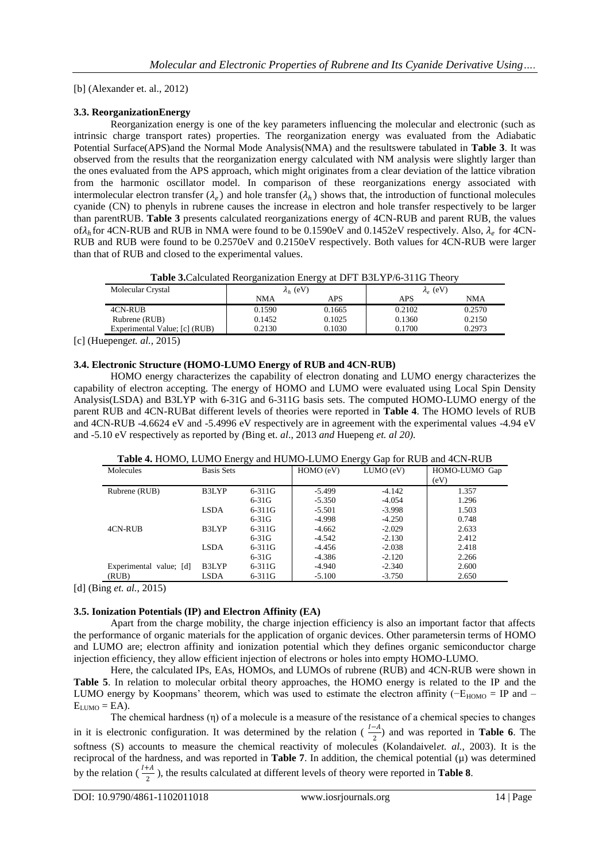[b] (Alexander et. al., 2012)

# **3.3. ReorganizationEnergy**

Reorganization energy is one of the key parameters influencing the molecular and electronic (such as intrinsic charge transport rates) properties. The reorganization energy was evaluated from the Adiabatic Potential Surface(APS)and the Normal Mode Analysis(NMA) and the resultswere tabulated in **Table 3**. It was observed from the results that the reorganization energy calculated with NM analysis were slightly larger than the ones evaluated from the APS approach, which might originates from a clear deviation of the lattice vibration from the harmonic oscillator model. In comparison of these reorganizations energy associated with intermolecular electron transfer  $(\lambda_e)$  and hole transfer  $(\lambda_h)$  shows that, the introduction of functional molecules cyanide (CN) to phenyls in rubrene causes the increase in electron and hole transfer respectively to be larger than parentRUB. **Table 3** presents calculated reorganizations energy of 4CN-RUB and parent RUB, the values of $\lambda_h$  for 4CN-RUB and RUB in NMA were found to be 0.1590eV and 0.1452eV respectively. Also,  $\lambda_e$  for 4CN-RUB and RUB were found to be 0.2570eV and 0.2150eV respectively. Both values for 4CN-RUB were larger than that of RUB and closed to the experimental values.

**Table 3.**Calculated Reorganization Energy at DFT B3LYP/6-311G Theory

| Molecular Crystal             | $\lambda_h$ (eV) |        | $\lambda_e$ (eV) |        |  |
|-------------------------------|------------------|--------|------------------|--------|--|
|                               | NMA              | APS    | APS              | NMA    |  |
| 4CN-RUB                       | 0.1590           | 0.1665 | 0.2102           | 0.2570 |  |
| Rubrene (RUB)                 | 0.1452           | 0.1025 | 0.1360           | 0.2150 |  |
| Experimental Value; [c] (RUB) | 0.2130           | 0.1030 | 0.1700           | 0.2973 |  |

[c] (Huepeng*et. al.,* 2015)

# **3.4. Electronic Structure (HOMO-LUMO Energy of RUB and 4CN-RUB)**

HOMO energy characterizes the capability of electron donating and LUMO energy characterizes the capability of electron accepting. The energy of HOMO and LUMO were evaluated using Local Spin Density Analysis(LSDA) and B3LYP with 6-31G and 6-311G basis sets. The computed HOMO-LUMO energy of the parent RUB and 4CN-RUBat different levels of theories were reported in **Table 4**. The HOMO levels of RUB and 4CN-RUB -4.6624 eV and -5.4996 eV respectively are in agreement with the experimental values -4.94 eV and -5.10 eV respectively as reported by *(*Bing et. *al*., 2013 *and* Huepeng *et. al 20).*

| Molecules               | <b>Basis Sets</b> |            | HOMO (eV) | LUMO (eV) | HOMO-LUMO Gap<br>(eV) |
|-------------------------|-------------------|------------|-----------|-----------|-----------------------|
| Rubrene (RUB)           | B3LYP             | 6-311G     | $-5.499$  | $-4.142$  | 1.357                 |
|                         |                   | $6-31G$    | $-5.350$  | $-4.054$  | 1.296                 |
|                         | <b>LSDA</b>       | $6 - 311G$ | $-5.501$  | $-3.998$  | 1.503                 |
|                         |                   | $6-31G$    | $-4.998$  | $-4.250$  | 0.748                 |
| 4CN-RUB                 | B3LYP             | $6 - 311G$ | $-4.662$  | $-2.029$  | 2.633                 |
|                         |                   | $6-31G$    | $-4.542$  | $-2.130$  | 2.412                 |
|                         | <b>LSDA</b>       | $6 - 311G$ | $-4.456$  | $-2.038$  | 2.418                 |
|                         |                   | $6-31G$    | -4.386    | $-2.120$  | 2.266                 |
| Experimental value; [d] | B3LYP             | $6 - 311G$ | $-4.940$  | $-2.340$  | 2.600                 |
| (RUB)                   | LSDA              | 6-311G     | $-5.100$  | $-3.750$  | 2.650                 |

**Table 4.** HOMO, LUMO Energy and HUMO-LUMO Energy Gap for RUB and 4CN-RUB

[d] (Bing *et. al.*, 2015)

# **3.5. Ionization Potentials (IP) and Electron Affinity (EA)**

Apart from the charge mobility, the charge injection efficiency is also an important factor that affects the performance of organic materials for the application of organic devices. Other parametersin terms of HOMO and LUMO are; electron affinity and ionization potential which they defines organic semiconductor charge injection efficiency, they allow efficient injection of electrons or holes into empty HOMO-LUMO.

Here, the calculated IPs, EAs, HOMOs, and LUMOs of rubrene (RUB) and 4CN-RUB were shown in **Table 5**. In relation to molecular orbital theory approaches, the HOMO energy is related to the IP and the LUMO energy by Koopmans' theorem, which was used to estimate the electron affinity ( $-E_{HOMO} = IP$  and  $E_{LUMO} = EA$ ).

The chemical hardness  $(\eta)$  of a molecule is a measure of the resistance of a chemical species to changes in it is electronic configuration. It was determined by the relation  $(\frac{l-A}{2})$  and was reported in **Table 6**. The softness (S) accounts to measure the chemical reactivity of molecules (Kolandaivel*et. al.*, 2003). It is the reciprocal of the hardness, and was reported in **Table 7**. In addition, the chemical potential  $(\mu)$  was determined by the relation  $\left(\frac{I+A}{2}\right)$  $\frac{44}{2}$ ), the results calculated at different levels of theory were reported in **Table 8**.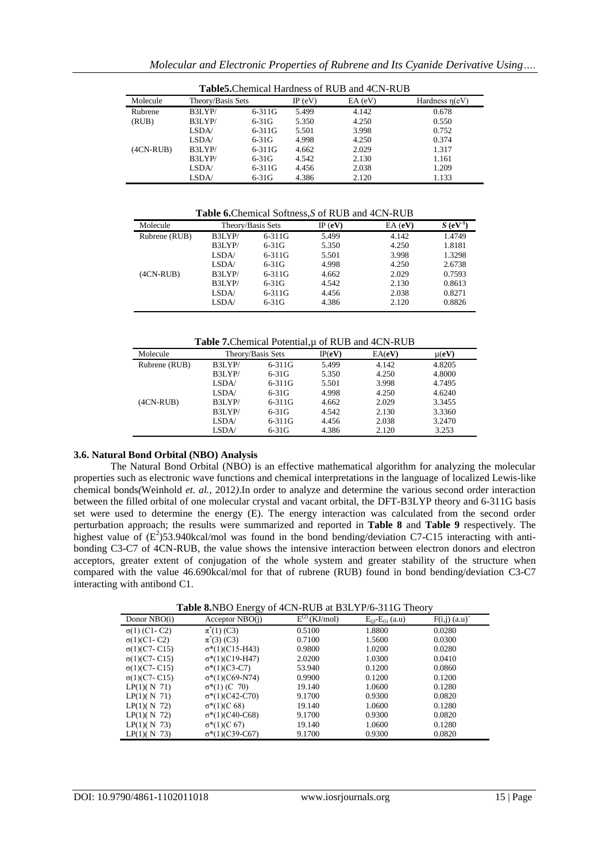|             | <b>Table5.</b> Chemical Hardness of RUB and 4CN-RUB |            |           |           |                      |
|-------------|-----------------------------------------------------|------------|-----------|-----------|----------------------|
| Molecule    | Theory/Basis Sets                                   |            | IP $(eV)$ | $EA$ (eV) | Hardness $\eta$ (eV) |
| Rubrene     | B3LYP/                                              | $6 - 311G$ | 5.499     | 4.142     | 0.678                |
| (RUB)       | B3LYP/                                              | $6-31G$    | 5.350     | 4.250     | 0.550                |
|             | LSDA/                                               | $6 - 311G$ | 5.501     | 3.998     | 0.752                |
|             | LSDA/                                               | $6-31G$    | 4.998     | 4.250     | 0.374                |
| $(4CN-RUB)$ | B3LYP/                                              | $6 - 311G$ | 4.662     | 2.029     | 1.317                |
|             | B3LYP/                                              | $6-31G$    | 4.542     | 2.130     | 1.161                |
|             | LSDA/                                               | $6 - 311G$ | 4.456     | 2.038     | 1.209                |
|             | LSDA/                                               | $6-31G$    | 4.386     | 2.120     | 1.133                |

**Table 6.**Chemical Softness,*S* of RUB and 4CN-RUB

| Molecule      | Theory/Basis Sets |            | IP (eV) | EA(eV) | $S$ (eV <sup>-1</sup> |
|---------------|-------------------|------------|---------|--------|-----------------------|
| Rubrene (RUB) | B3LYP/            | $6 - 311G$ | 5.499   | 4.142  | 1.4749                |
|               | B3LYP/            | $6-31G$    | 5.350   | 4.250  | 1.8181                |
|               | LSDA/             | $6 - 311G$ | 5.501   | 3.998  | 1.3298                |
|               | LSDA/             | $6-31G$    | 4.998   | 4.250  | 2.6738                |
| $(4CN-RUB)$   | B3LYP/            | $6 - 311G$ | 4.662   | 2.029  | 0.7593                |
|               | B3LYP/            | $6-31G$    | 4.542   | 2.130  | 0.8613                |
|               | LSDA/             | $6 - 311G$ | 4.456   | 2.038  | 0.8271                |
|               | LSDA/             | $6-31G$    | 4.386   | 2.120  | 0.8826                |

Table 7. Chemical Potential, u of RUB and 4CN-RUB

| Molecule      |        | Theory/Basis Sets | IP(eV) | EA(eV) | $\mu$ (eV) |
|---------------|--------|-------------------|--------|--------|------------|
| Rubrene (RUB) | B3LYP/ | $6 - 311G$        | 5.499  | 4.142  | 4.8205     |
|               | B3LYP/ | $6-31G$           | 5.350  | 4.250  | 4.8000     |
|               | LSDA/  | $6 - 311G$        | 5.501  | 3.998  | 4.7495     |
|               | LSDA/  | $6-31G$           | 4.998  | 4.250  | 4.6240     |
| $(4CN-RUB)$   | B3LYP/ | $6 - 311G$        | 4.662  | 2.029  | 3.3455     |
|               | B3LYP/ | $6-31G$           | 4.542  | 2.130  | 3.3360     |
|               | LSDA/  | $6 - 311G$        | 4.456  | 2.038  | 3.2470     |
|               | LSDA/  | $6-31G$           | 4.386  | 2.120  | 3.253      |
|               |        |                   |        |        |            |

## **3.6. Natural Bond Orbital (NBO) Analysis**

The Natural Bond Orbital (NBO) is an effective mathematical algorithm for analyzing the molecular properties such as electronic wave functions and chemical interpretations in the language of localized Lewis-like chemical bonds*(*Weinhold *et. al.,* 2012*)*.In order to analyze and determine the various second order interaction between the filled orbital of one molecular crystal and vacant orbital, the DFT-B3LYP theory and 6-311G basis set were used to determine the energy (E). The energy interaction was calculated from the second order perturbation approach; the results were summarized and reported in **Table 8** and **Table 9** respectively. The highest value of  $(E^2)$ 53.940kcal/mol was found in the bond bending/deviation C7-C15 interacting with antibonding C3-C7 of 4CN-RUB, the value shows the intensive interaction between electron donors and electron acceptors, greater extent of conjugation of the whole system and greater stability of the structure when compared with the value 46.690kcal/mol for that of rubrene (RUB) found in bond bending/deviation C3-C7 interacting with antibond C1.

**Table 8.**NBO Energy of 4CN-RUB at B3LYP/6-311G Theory

| Donor $NBO(i)$        | Acceptor $NBO(i)$       | $E^{(2)}$ (KJ/mol) | $E_{(i)}E_{(i)}(a.u)$ | $F(i,j)$ (a.u) |
|-----------------------|-------------------------|--------------------|-----------------------|----------------|
| $\sigma(1)$ (C1-C2)   | $\pi^*(1)$ (C3)         | 0.5100             | 1.8800                | 0.0280         |
| $\sigma(1)$ (C1 - C2) | $\pi(3)$ (C3)           | 0.7100             | 1.5600                | 0.0300         |
| $\sigma(1)$ (C7-C15)  | $\sigma$ *(1)(C15-H43)  | 0.9800             | 1.0200                | 0.0280         |
| $\sigma(1)$ (C7-C15)  | $\sigma^*(1)$ (C19-H47) | 2.0200             | 1.0300                | 0.0410         |
| $\sigma(1)$ (C7-C15)  | $\sigma^*(1)$ (C3-C7)   | 53.940             | 0.1200                | 0.0860         |
| $\sigma(1)$ (C7-C15)  | $\sigma^*(1)$ (C69-N74) | 0.9900             | 0.1200                | 0.1200         |
| LP(1)(N 71)           | $\sigma^*(1)$ (C 70)    | 19.140             | 1.0600                | 0.1280         |
| LP(1)(N 71)           | $\sigma^*(1)$ (C42-C70) | 9.1700             | 0.9300                | 0.0820         |
| $LP(1)$ ( N 72)       | $\sigma^*(1)$ (C 68)    | 19.140             | 1.0600                | 0.1280         |
| LP(1)(N 72)           | $\sigma$ *(1)(C40-C68)  | 9.1700             | 0.9300                | 0.0820         |
| $LP(1)$ ( N 73)       | $\sigma^*(1)$ (C 67)    | 19.140             | 1.0600                | 0.1280         |
| $LP(1)$ ( N 73)       | $\sigma$ *(1)(C39-C67)  | 9.1700             | 0.9300                | 0.0820         |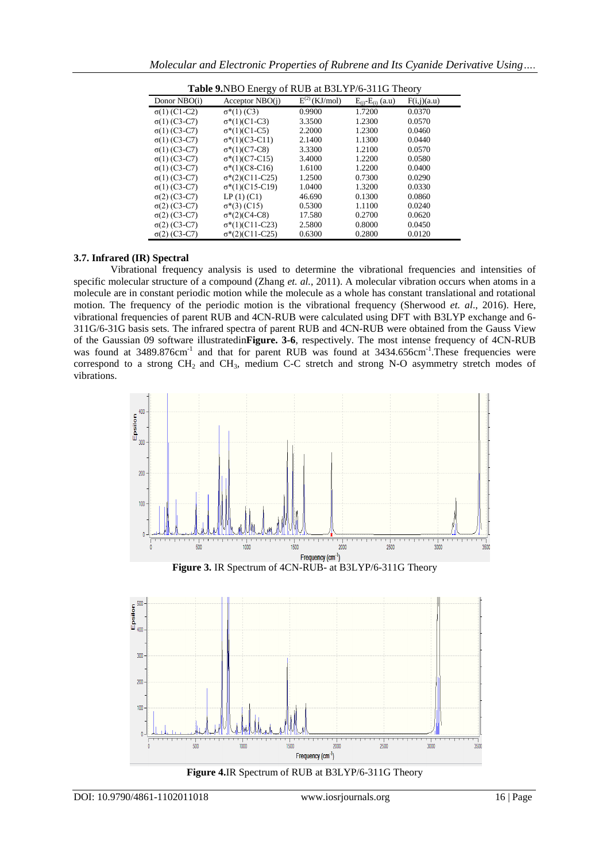| Table 9.NBO Energy of RUB at B3LYP/6-311G Theory |                         |                    |                             |             |  |  |
|--------------------------------------------------|-------------------------|--------------------|-----------------------------|-------------|--|--|
| Donor NBO(i)                                     | Acceptor $NBO(i)$       | $E^{(2)}$ (KJ/mol) | $E_{(i)}$ - $E_{(i)}$ (a.u) | F(i,j)(a.u) |  |  |
| $\sigma(1)$ (C1-C2)                              | $\sigma^*(1)$ (C3)      | 0.9900             | 1.7200                      | 0.0370      |  |  |
| $σ(1) (C3-C7)$                                   | $\sigma^*(1)$ (C1-C3)   | 3.3500             | 1.2300                      | 0.0570      |  |  |
| $\sigma(1)$ (C3-C7)                              | $\sigma^*(1)$ (C1-C5)   | 2.2000             | 1.2300                      | 0.0460      |  |  |
| $σ(1) (C3-C7)$                                   | $\sigma^*(1)$ (C3-C11)  | 2.1400             | 1.1300                      | 0.0440      |  |  |
| $σ(1) (C3-C7)$                                   | $\sigma$ *(1)(C7-C8)    | 3.3300             | 1.2100                      | 0.0570      |  |  |
| $σ(1) (C3-C7)$                                   | $\sigma^*(1)$ (C7-C15)  | 3.4000             | 1.2200                      | 0.0580      |  |  |
| $σ(1) (C3-C7)$                                   | $\sigma$ *(1)(C8-C16)   | 1.6100             | 1.2200                      | 0.0400      |  |  |
| $\sigma(1)$ (C3-C7)                              | $\sigma^*(2)$ (C11-C25) | 1.2500             | 0.7300                      | 0.0290      |  |  |
| $σ(1) (C3-C7)$                                   | $\sigma^*(1)$ (C15-C19) | 1.0400             | 1.3200                      | 0.0330      |  |  |
| $\sigma(2)$ (C3-C7)                              | LP(1) (C1)              | 46.690             | 0.1300                      | 0.0860      |  |  |
| $σ(2) (C3-C7)$                                   | $\sigma$ *(3) (C15)     | 0.5300             | 1.1100                      | 0.0240      |  |  |
| $σ(2) (C3-C7)$                                   | $\sigma$ *(2)(C4-C8)    | 17.580             | 0.2700                      | 0.0620      |  |  |
| $σ(2) (C3-C7)$                                   | $\sigma^*(1)$ (C11-C23) | 2.5800             | 0.8000                      | 0.0450      |  |  |
| $σ(2) (C3-C7)$                                   | $\sigma$ *(2)(C11-C25)  | 0.6300             | 0.2800                      | 0.0120      |  |  |

## **3.7. Infrared (IR) Spectral**

Vibrational frequency analysis is used to determine the vibrational frequencies and intensities of specific molecular structure of a compound (Zhang *et. al.*, 2011). A molecular vibration occurs when atoms in a molecule are in constant periodic motion while the molecule as a whole has constant translational and rotational motion. The frequency of the periodic motion is the vibrational frequency (Sherwood *et. al*., 2016). Here, vibrational frequencies of parent RUB and 4CN-RUB were calculated using DFT with B3LYP exchange and 6- 311G/6-31G basis sets. The infrared spectra of parent RUB and 4CN-RUB were obtained from the Gauss View of the Gaussian 09 software illustratedin**Figure. 3-6**, respectively. The most intense frequency of 4CN-RUB was found at 3489.876cm<sup>-1</sup> and that for parent RUB was found at 3434.656cm<sup>-1</sup>. These frequencies were correspond to a strong  $CH_2$  and  $CH_3$ , medium C-C stretch and strong N-O asymmetry stretch modes of vibrations.



**Figure 3.** IR Spectrum of 4CN-RUB- at B3LYP/6-311G Theory



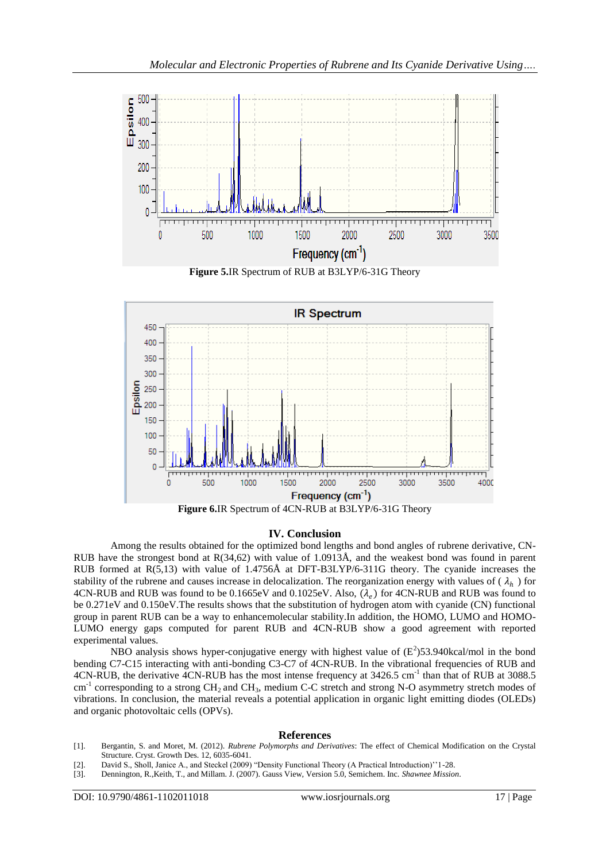

**Figure 5.**IR Spectrum of RUB at B3LYP/6-31G Theory



#### **IV. Conclusion**

Among the results obtained for the optimized bond lengths and bond angles of rubrene derivative, CN-RUB have the strongest bond at R(34,62) with value of 1.0913Å, and the weakest bond was found in parent RUB formed at R(5,13) with value of 1.4756Å at DFT-B3LYP/6-311G theory. The cyanide increases the stability of the rubrene and causes increase in delocalization. The reorganization energy with values of  $(\lambda_h)$  for 4CN-RUB and RUB was found to be 0.1665eV and 0.1025eV. Also,  $(\lambda_e)$  for 4CN-RUB and RUB was found to be 0.271eV and 0.150eV.The results shows that the substitution of hydrogen atom with cyanide (CN) functional group in parent RUB can be a way to enhancemolecular stability.In addition, the HOMO, LUMO and HOMO-LUMO energy gaps computed for parent RUB and 4CN-RUB show a good agreement with reported experimental values.

NBO analysis shows hyper-conjugative energy with highest value of  $(E^2)$ 53.940kcal/mol in the bond bending C7-C15 interacting with anti-bonding C3-C7 of 4CN-RUB. In the vibrational frequencies of RUB and 4CN-RUB, the derivative 4CN-RUB has the most intense frequency at 3426.5 cm<sup>-1</sup> than that of RUB at 3088.5  $cm^{-1}$  corresponding to a strong CH<sub>2</sub> and CH<sub>3</sub>, medium C-C stretch and strong N-O asymmetry stretch modes of vibrations. In conclusion, the material reveals a potential application in organic light emitting diodes (OLEDs) and organic photovoltaic cells (OPVs).

#### **References**

- [1]. Bergantin, S. and Moret, M. (2012). *Rubrene Polymorphs and Derivatives*: The effect of Chemical Modification on the Crystal Structure. Cryst. Growth Des. 12, 6035-6041.
- [2]. David S., Sholl, Janice A., and Steckel (2009) "Density Functional Theory (A Practical Introduction)''1-28.
- [3]. Dennington, R.,Keith, T., and Millam. J. (2007). Gauss View, Version 5.0, Semichem. Inc. *Shawnee Mission*.